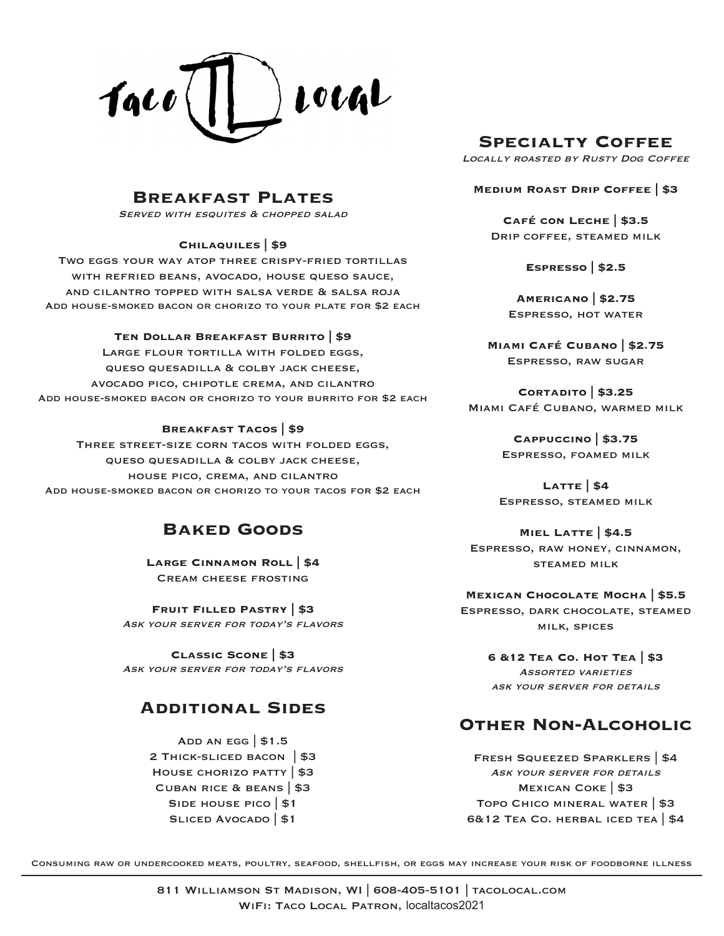

# **Specialty Coffee**

Locally roasted by Rusty Dog Coffee

### **Breakfast Plates**

SERVED WITH ESQUITES & CHOPPED SALAD

#### **Chilaquiles | \$9**

Two eggs your way atop three crispy-fried tortillas WITH REFRIED BEANS, AVOCADO, HOUSE QUESO SAUCE, and cilantro topped with salsa verde & salsa roja Add house-smoked bacon or chorizo to your plate for \$2 each

#### **Ten Dollar Breakfast Burrito | \$9**

Large flour tortilla with folded eggs, queso quesadilla & colby jack cheese, avocado pico, chipotle crema, and cilantro Add house-smoked bacon or chorizo to your burrito for \$2 each

#### **Breakfast Tacos | \$9**

Three street-size corn tacos with folded eggs, queso quesadilla & colby jack cheese, house pico, crema, and cilantro Add house-smoked bacon or chorizo to your tacos for \$2 each

# **Baked Goods**

**Large Cinnamon Roll | \$4**  Cream cheese frosting

**Fruit Filled Pastry | \$3** Ask your server for today's flavors

**Classic Scone | \$3** Ask your server for today's flavors

# **Additional Sides**

ADD AN EGG  $|$1.5$ 2 Thick-sliced bacon | \$3 House chorizo patty | \$3 Cuban rice & beans | \$3 SIDE HOUSE PICO | \$1 SLICED AVOCADO | \$1

**Medium Roast Drip Coffee | \$3**

**Café con Leche | \$3.5** Drip coffee, steamed milk

**Espresso | \$2.5**

**Americano | \$2.75** Espresso, hot water

**Miami Café Cubano | \$2.75** Espresso, raw sugar

**Cortadito | \$3.25** Miami Café Cubano, warmed milk

> **Cappuccino | \$3.75** Espresso, foamed milk

**Latte | \$4** Espresso, steamed milk

### **Miel Latte | \$4.5**

Espresso, raw honey, cinnamon, steamed milk

**Mexican Chocolate Mocha | \$5.5** Espresso, dark chocolate, steamed milk, spices

> **6 &12 Tea Co. Hot Tea | \$3** Assorted varieties ask your server for details

# **Other Non-Alcoholic**

Fresh Squeezed Sparklers | \$4 ASK YOUR SERVER FOR DETAILS Mexican Coke | \$3 Topo Chico mineral water | \$3 6&12 Tea Co. herbal iced tea | \$4

Consuming raw or undercooked meats, poultry, seafood, shellfish, or eggs may increase your risk of foodborne illness

811 Williamson St Madison, WI | 608-405-5101 | tacolocal.com WIFI: TACO LOCAL PATRON, localtacos2021